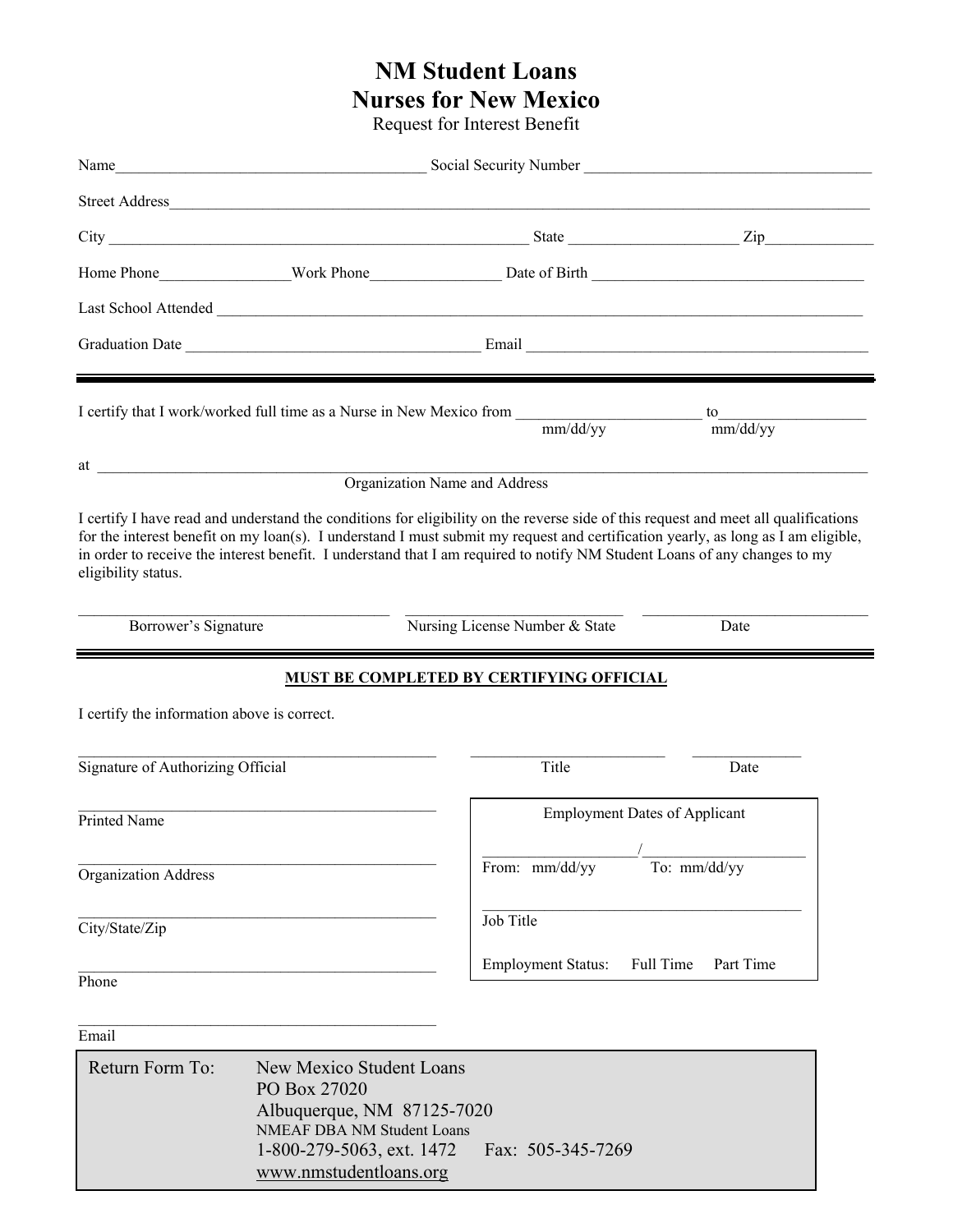# **NM Student Loans Nurses for New Mexico**

Request for Interest Benefit

|                                             | Street Address                                                                                       |                                          |                                      |  |
|---------------------------------------------|------------------------------------------------------------------------------------------------------|------------------------------------------|--------------------------------------|--|
|                                             |                                                                                                      |                                          |                                      |  |
|                                             |                                                                                                      |                                          |                                      |  |
|                                             |                                                                                                      |                                          |                                      |  |
|                                             |                                                                                                      |                                          |                                      |  |
|                                             |                                                                                                      | mm/dd/yy                                 | mm/dd/vv                             |  |
|                                             |                                                                                                      | Organization Name and Address            |                                      |  |
| eligibility status.<br>Borrower's Signature |                                                                                                      | Nursing License Number & State           | Date                                 |  |
| I certify the information above is correct. |                                                                                                      | MUST BE COMPLETED BY CERTIFYING OFFICIAL |                                      |  |
| Signature of Authorizing Official           |                                                                                                      | Title                                    | Date                                 |  |
| Printed Name                                |                                                                                                      |                                          | <b>Employment Dates of Applicant</b> |  |
| <b>Organization Address</b>                 |                                                                                                      | From: mm/dd/yy                           | $\overline{a}$<br>To: mm/dd/yy       |  |
| City/State/Zip                              |                                                                                                      | Job Title                                |                                      |  |
| Phone                                       |                                                                                                      | <b>Employment Status:</b>                | Full Time<br>Part Time               |  |
| Email                                       |                                                                                                      |                                          |                                      |  |
| Return Form To:                             | New Mexico Student Loans<br>PO Box 27020<br>Albuquerque, NM 87125-7020<br>NMEAF DBA NM Student Loans |                                          |                                      |  |

1-800-279-5063, ext. 1472 Fax: 505-345-7269

www.nmstudentloans.org